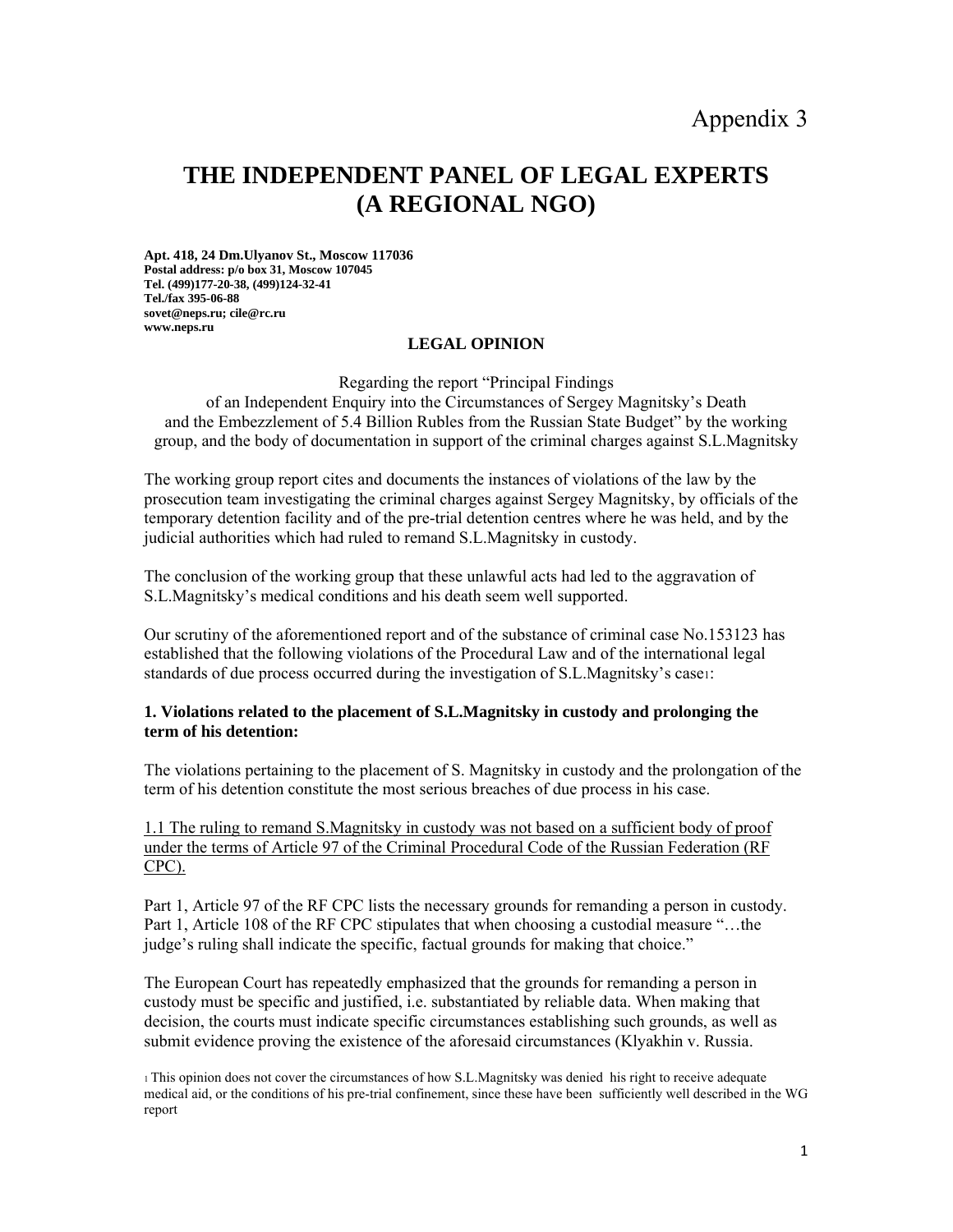# **THE INDEPENDENT PANEL OF LEGAL EXPERTS (A REGIONAL NGO)**

**Apt. 418, 24 Dm.Ulyanov St., Moscow 117036 Postal address: p/o box 31, Moscow 107045 Tel. (499)177-20-38, (499)124-32-41 Tel./fax 395-06-88 sovet@neps.ru; cile@rc.ru www.neps.ru** 

## **LEGAL OPINION**

Regarding the report "Principal Findings

of an Independent Enquiry into the Circumstances of Sergey Magnitsky's Death and the Embezzlement of 5.4 Billion Rubles from the Russian State Budget" by the working group, and the body of documentation in support of the criminal charges against S.L.Magnitsky

The working group report cites and documents the instances of violations of the law by the prosecution team investigating the criminal charges against Sergey Magnitsky, by officials of the temporary detention facility and of the pre-trial detention centres where he was held, and by the judicial authorities which had ruled to remand S.L.Magnitsky in custody.

The conclusion of the working group that these unlawful acts had led to the aggravation of S.L.Magnitsky's medical conditions and his death seem well supported.

Our scrutiny of the aforementioned report and of the substance of criminal case No.153123 has established that the following violations of the Procedural Law and of the international legal standards of due process occurred during the investigation of S.L.Magnitsky's case1:

#### **1. Violations related to the placement of S.L.Magnitsky in custody and prolonging the term of his detention:**

The violations pertaining to the placement of S. Magnitsky in custody and the prolongation of the term of his detention constitute the most serious breaches of due process in his case.

1.1 The ruling to remand S.Magnitsky in custody was not based on a sufficient body of proof under the terms of Article 97 of the Criminal Procedural Code of the Russian Federation (RF CPC).

Part 1, Article 97 of the RF CPC lists the necessary grounds for remanding a person in custody. Part 1, Article 108 of the RF CPC stipulates that when choosing a custodial measure "…the judge's ruling shall indicate the specific, factual grounds for making that choice."

The European Court has repeatedly emphasized that the grounds for remanding a person in custody must be specific and justified, i.e. substantiated by reliable data. When making that decision, the courts must indicate specific circumstances establishing such grounds, as well as submit evidence proving the existence of the aforesaid circumstances (Klyakhin v. Russia.

<sup>1</sup> This opinion does not cover the circumstances of how S.L.Magnitsky was denied his right to receive adequate medical aid, or the conditions of his pre-trial confinement, since these have been sufficiently well described in the WG report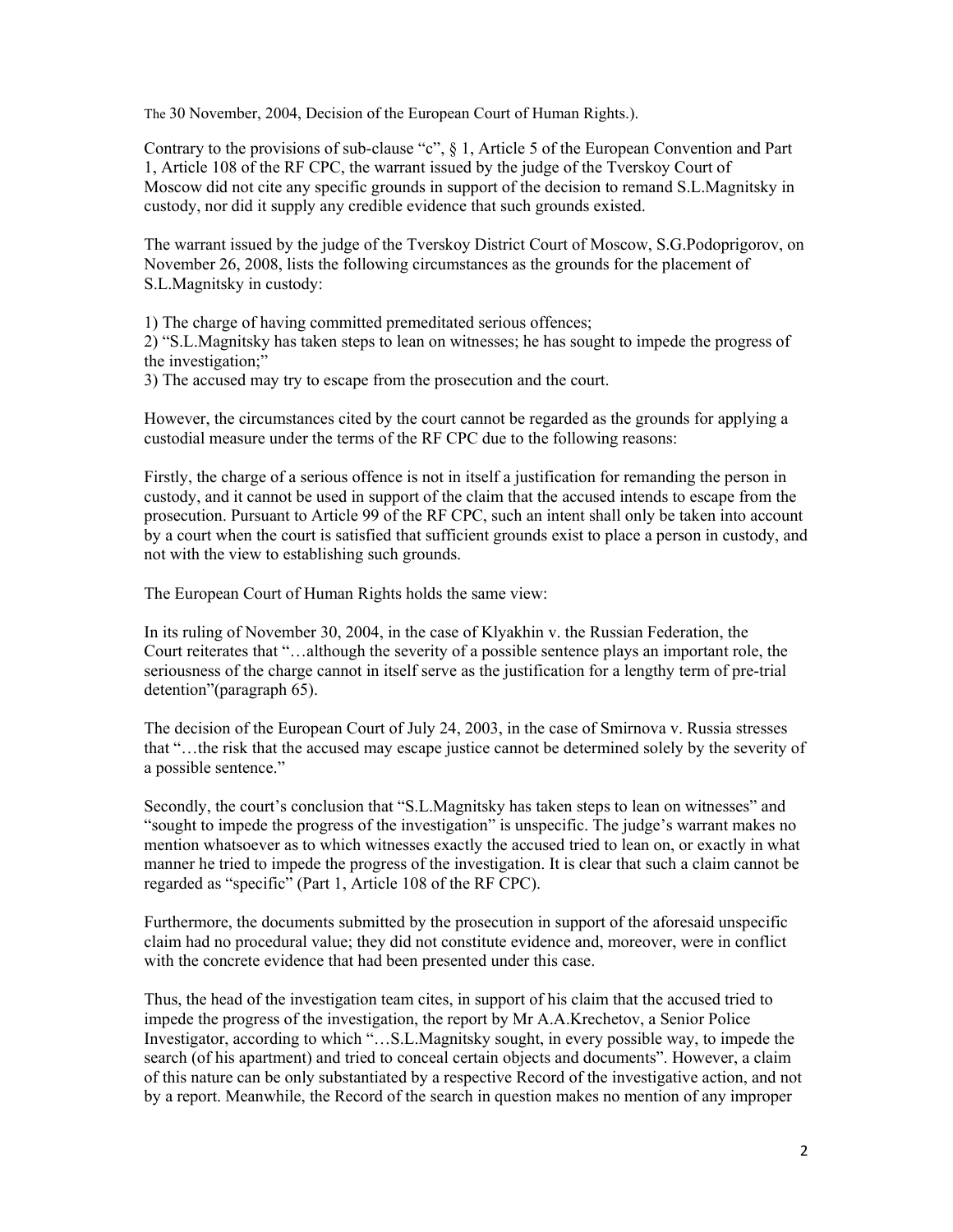The 30 November, 2004, Decision of the European Court of Human Rights.).

Contrary to the provisions of sub-clause "с", § 1, Article 5 of the European Convention and Part 1, Article 108 of the RF CPC, the warrant issued by the judge of the Tverskoy Court of Moscow did not cite any specific grounds in support of the decision to remand S.L.Magnitsky in custody, nor did it supply any credible evidence that such grounds existed.

The warrant issued by the judge of the Tverskoy District Court of Moscow, S.G.Podoprigorov, on November 26, 2008, lists the following circumstances as the grounds for the placement of S.L.Magnitsky in custody:

1) The charge of having committed premeditated serious offences;

2) "S.L.Magnitsky has taken steps to lean on witnesses; he has sought to impede the progress of the investigation;"

3) The accused may try to escape from the prosecution and the court.

However, the circumstances cited by the court cannot be regarded as the grounds for applying a custodial measure under the terms of the RF CPC due to the following reasons:

Firstly, the charge of a serious offence is not in itself a justification for remanding the person in custody, and it cannot be used in support of the claim that the accused intends to escape from the prosecution. Pursuant to Article 99 of the RF CPC, such an intent shall only be taken into account by a court when the court is satisfied that sufficient grounds exist to place a person in custody, and not with the view to establishing such grounds.

The European Court of Human Rights holds the same view:

In its ruling of November 30, 2004, in the case of Klyakhin v. the Russian Federation, the Court reiterates that "…although the severity of a possible sentence plays an important role, the seriousness of the charge cannot in itself serve as the justification for a lengthy term of pre-trial detention"(paragraph 65).

The decision of the European Court of July 24, 2003, in the case of Smirnova v. Russia stresses that "…the risk that the accused may escape justice cannot be determined solely by the severity of a possible sentence."

Secondly, the court's conclusion that "S.L.Magnitsky has taken steps to lean on witnesses" and "sought to impede the progress of the investigation" is unspecific. The judge's warrant makes no mention whatsoever as to which witnesses exactly the accused tried to lean on, or exactly in what manner he tried to impede the progress of the investigation. It is clear that such a claim cannot be regarded as "specific" (Part 1, Article 108 of the RF CPC).

Furthermore, the documents submitted by the prosecution in support of the aforesaid unspecific claim had no procedural value; they did not constitute evidence and, moreover, were in conflict with the concrete evidence that had been presented under this case.

Thus, the head of the investigation team cites, in support of his claim that the accused tried to impede the progress of the investigation, the report by Mr A.A.Krechetov, a Senior Police Investigator, according to which "…S.L.Magnitsky sought, in every possible way, to impede the search (of his apartment) and tried to conceal certain objects and documents". However, a claim of this nature can be only substantiated by a respective Record of the investigative action, and not by a report. Meanwhile, the Record of the search in question makes no mention of any improper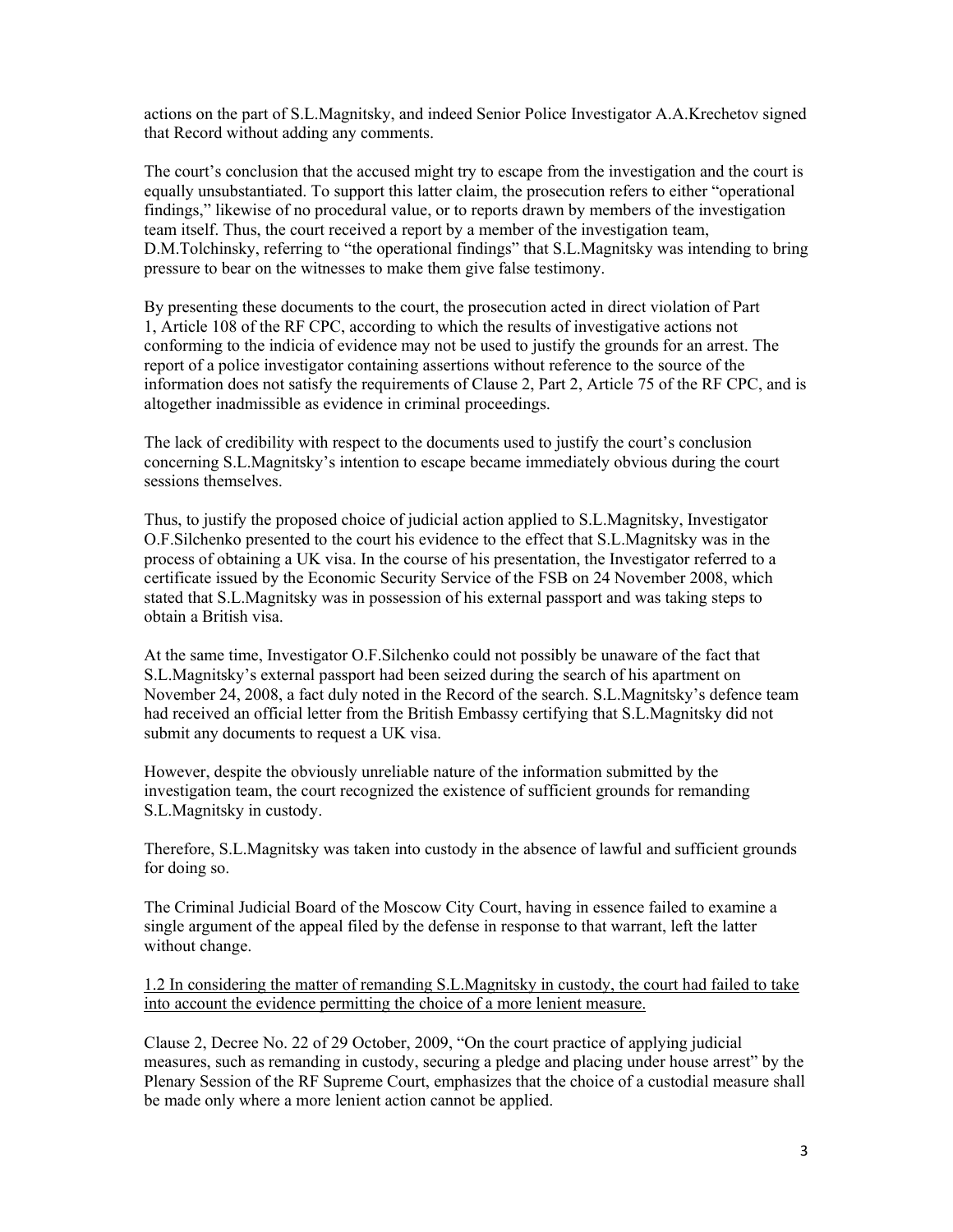actions on the part of S.L.Magnitsky, and indeed Senior Police Investigator A.A.Krechetov signed that Record without adding any comments.

The court's conclusion that the accused might try to escape from the investigation and the court is equally unsubstantiated. To support this latter claim, the prosecution refers to either "operational findings," likewise of no procedural value, or to reports drawn by members of the investigation team itself. Thus, the court received a report by a member of the investigation team, D.M.Tolchinsky, referring to "the operational findings" that S.L.Magnitsky was intending to bring pressure to bear on the witnesses to make them give false testimony.

By presenting these documents to the court, the prosecution acted in direct violation of Part 1, Article 108 of the RF CPC, according to which the results of investigative actions not conforming to the indicia of evidence may not be used to justify the grounds for an arrest. The report of a police investigator containing assertions without reference to the source of the information does not satisfy the requirements of Clause 2, Part 2, Article 75 of the RF CPC, and is altogether inadmissible as evidence in criminal proceedings.

The lack of credibility with respect to the documents used to justify the court's conclusion concerning S.L.Magnitsky's intention to escape became immediately obvious during the court sessions themselves.

Thus, to justify the proposed choice of judicial action applied to S.L.Magnitsky, Investigator O.F.Silchenko presented to the court his evidence to the effect that S.L.Magnitsky was in the process of obtaining a UK visa. In the course of his presentation, the Investigator referred to a certificate issued by the Economic Security Service of the FSB on 24 November 2008, which stated that S.L.Magnitsky was in possession of his external passport and was taking steps to obtain a British visa.

At the same time, Investigator O.F.Silchenko could not possibly be unaware of the fact that S.L.Magnitsky's external passport had been seized during the search of his apartment on November 24, 2008, a fact duly noted in the Record of the search. S.L.Magnitsky's defence team had received an official letter from the British Embassy certifying that S.L.Magnitsky did not submit any documents to request a UK visa.

However, despite the obviously unreliable nature of the information submitted by the investigation team, the court recognized the existence of sufficient grounds for remanding S.L.Magnitsky in custody.

Therefore, S.L.Magnitsky was taken into custody in the absence of lawful and sufficient grounds for doing so.

The Criminal Judicial Board of the Moscow City Court, having in essence failed to examine a single argument of the appeal filed by the defense in response to that warrant, left the latter without change.

1.2 In considering the matter of remanding S.L.Magnitsky in custody, the court had failed to take into account the evidence permitting the choice of a more lenient measure.

Clause 2, Decree No. 22 of 29 October, 2009, "On the court practice of applying judicial measures, such as remanding in custody, securing a pledge and placing under house arrest" by the Plenary Session of the RF Supreme Court, emphasizes that the choice of a custodial measure shall be made only where a more lenient action cannot be applied.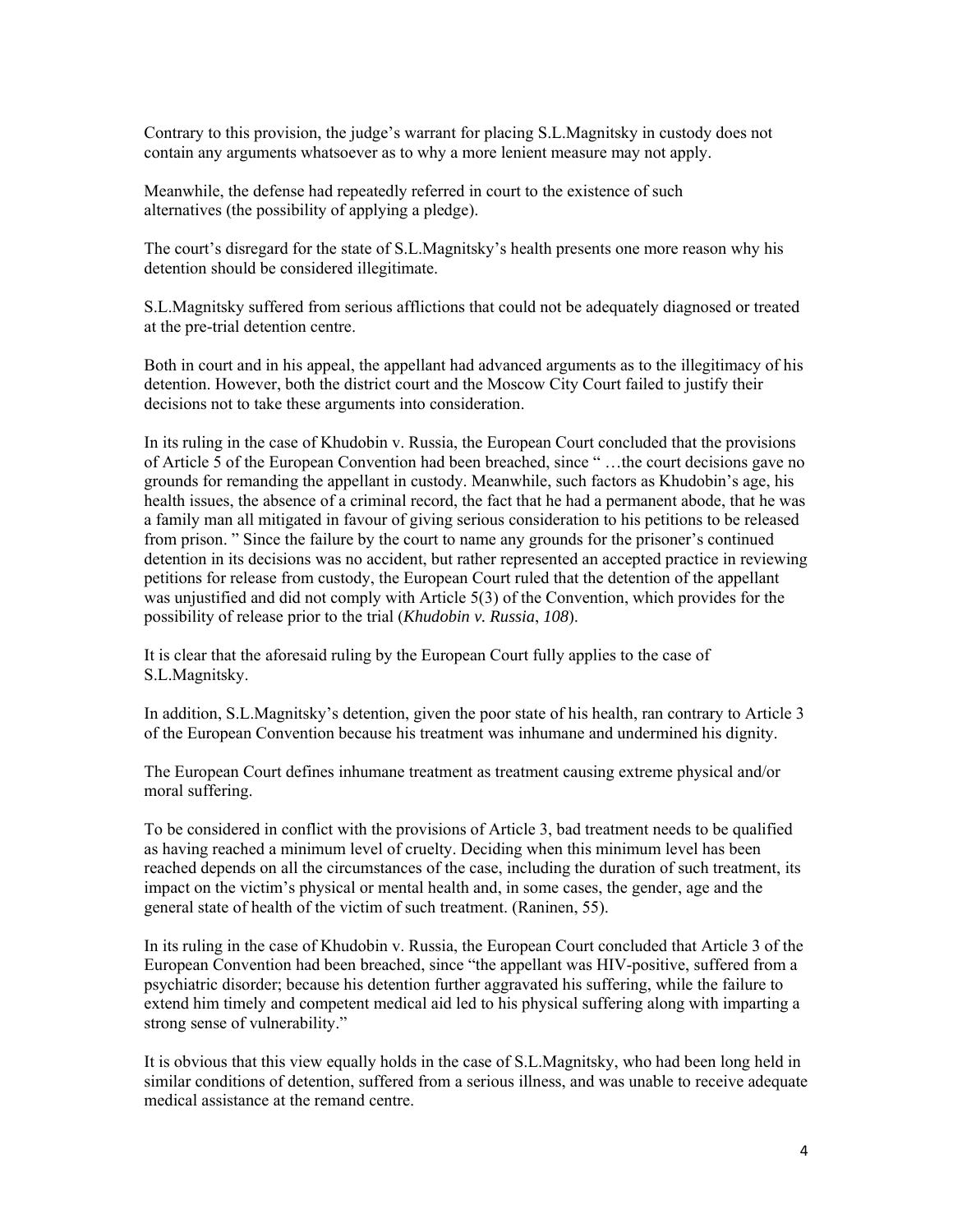Contrary to this provision, the judge's warrant for placing S.L.Magnitsky in custody does not contain any arguments whatsoever as to why a more lenient measure may not apply.

Meanwhile, the defense had repeatedly referred in court to the existence of such alternatives (the possibility of applying a pledge).

The court's disregard for the state of S.L.Magnitsky's health presents one more reason why his detention should be considered illegitimate.

S.L.Magnitsky suffered from serious afflictions that could not be adequately diagnosed or treated at the pre-trial detention centre.

Both in court and in his appeal, the appellant had advanced arguments as to the illegitimacy of his detention. However, both the district court and the Moscow City Court failed to justify their decisions not to take these arguments into consideration.

In its ruling in the case of Khudobin v. Russia, the European Court concluded that the provisions of Article 5 of the European Convention had been breached, since " …the court decisions gave no grounds for remanding the appellant in custody. Meanwhile, such factors as Khudobin's age, his health issues, the absence of a criminal record, the fact that he had a permanent abode, that he was a family man all mitigated in favour of giving serious consideration to his petitions to be released from prison. " Since the failure by the court to name any grounds for the prisoner's continued detention in its decisions was no accident, but rather represented an accepted practice in reviewing petitions for release from custody, the European Court ruled that the detention of the appellant was unjustified and did not comply with Article 5(3) of the Convention, which provides for the possibility of release prior to the trial (*Khudobin v. Russia*, *108*).

It is clear that the aforesaid ruling by the European Court fully applies to the case of S.L.Magnitsky.

In addition, S.L.Magnitsky's detention, given the poor state of his health, ran contrary to Article 3 of the European Convention because his treatment was inhumane and undermined his dignity.

The European Court defines inhumane treatment as treatment causing extreme physical and/or moral suffering.

To be considered in conflict with the provisions of Article 3, bad treatment needs to be qualified as having reached a minimum level of cruelty. Deciding when this minimum level has been reached depends on all the circumstances of the case, including the duration of such treatment, its impact on the victim's physical or mental health and, in some cases, the gender, age and the general state of health of the victim of such treatment. (Raninen, 55).

In its ruling in the case of Khudobin v. Russia, the European Court concluded that Article 3 of the European Convention had been breached, since "the appellant was HIV-positive, suffered from a psychiatric disorder; because his detention further aggravated his suffering, while the failure to extend him timely and competent medical aid led to his physical suffering along with imparting a strong sense of vulnerability."

It is obvious that this view equally holds in the case of S.L.Magnitsky, who had been long held in similar conditions of detention, suffered from a serious illness, and was unable to receive adequate medical assistance at the remand centre.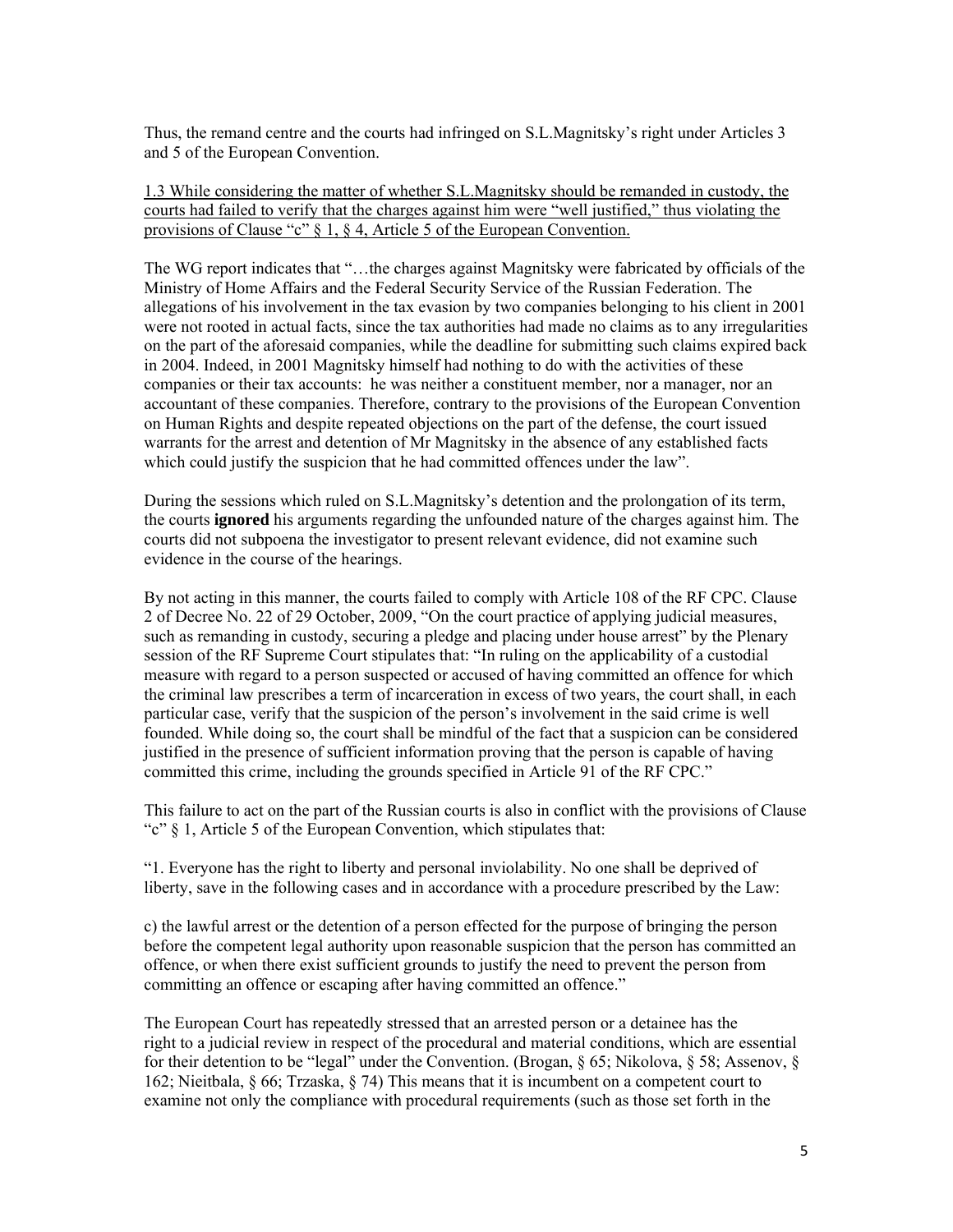Thus, the remand centre and the courts had infringed on S.L.Magnitsky's right under Articles 3 and 5 of the European Convention.

1.3 While considering the matter of whether S.L.Magnitsky should be remanded in custody, the courts had failed to verify that the charges against him were "well justified," thus violating the provisions of Clause "c" § 1, § 4, Article 5 of the European Convention.

The WG report indicates that "…the charges against Magnitsky were fabricated by officials of the Ministry of Home Affairs and the Federal Security Service of the Russian Federation. The allegations of his involvement in the tax evasion by two companies belonging to his client in 2001 were not rooted in actual facts, since the tax authorities had made no claims as to any irregularities on the part of the aforesaid companies, while the deadline for submitting such claims expired back in 2004. Indeed, in 2001 Magnitsky himself had nothing to do with the activities of these companies or their tax accounts: he was neither a constituent member, nor a manager, nor an accountant of these companies. Therefore, contrary to the provisions of the European Convention on Human Rights and despite repeated objections on the part of the defense, the court issued warrants for the arrest and detention of Mr Magnitsky in the absence of any established facts which could justify the suspicion that he had committed offences under the law".

During the sessions which ruled on S.L.Magnitsky's detention and the prolongation of its term, the courts **ignored** his arguments regarding the unfounded nature of the charges against him. The courts did not subpoena the investigator to present relevant evidence, did not examine such evidence in the course of the hearings.

By not acting in this manner, the courts failed to comply with Article 108 of the RF CPC. Clause 2 of Decree No. 22 of 29 October, 2009, "On the court practice of applying judicial measures, such as remanding in custody, securing a pledge and placing under house arrest" by the Plenary session of the RF Supreme Court stipulates that: "In ruling on the applicability of a custodial measure with regard to a person suspected or accused of having committed an offence for which the criminal law prescribes a term of incarceration in excess of two years, the court shall, in each particular case, verify that the suspicion of the person's involvement in the said crime is well founded. While doing so, the court shall be mindful of the fact that a suspicion can be considered justified in the presence of sufficient information proving that the person is capable of having committed this crime, including the grounds specified in Article 91 of the RF CPC."

This failure to act on the part of the Russian courts is also in conflict with the provisions of Clause "c" § 1, Article 5 of the European Convention, which stipulates that:

"1. Everyone has the right to liberty and personal inviolability. No one shall be deprived of liberty, save in the following cases and in accordance with a procedure prescribed by the Law:

c) the lawful arrest or the detention of a person effected for the purpose of bringing the person before the competent legal authority upon reasonable suspicion that the person has committed an offence, or when there exist sufficient grounds to justify the need to prevent the person from committing an offence or escaping after having committed an offence."

The European Court has repeatedly stressed that an arrested person or a detainee has the right to a judicial review in respect of the procedural and material conditions, which are essential for their detention to be "legal" under the Convention. (Brogan, § 65; Nikolova, § 58; Assenov, § 162; Nieitbala, § 66; Trzaska, § 74) This means that it is incumbent on a competent court to examine not only the compliance with procedural requirements (such as those set forth in the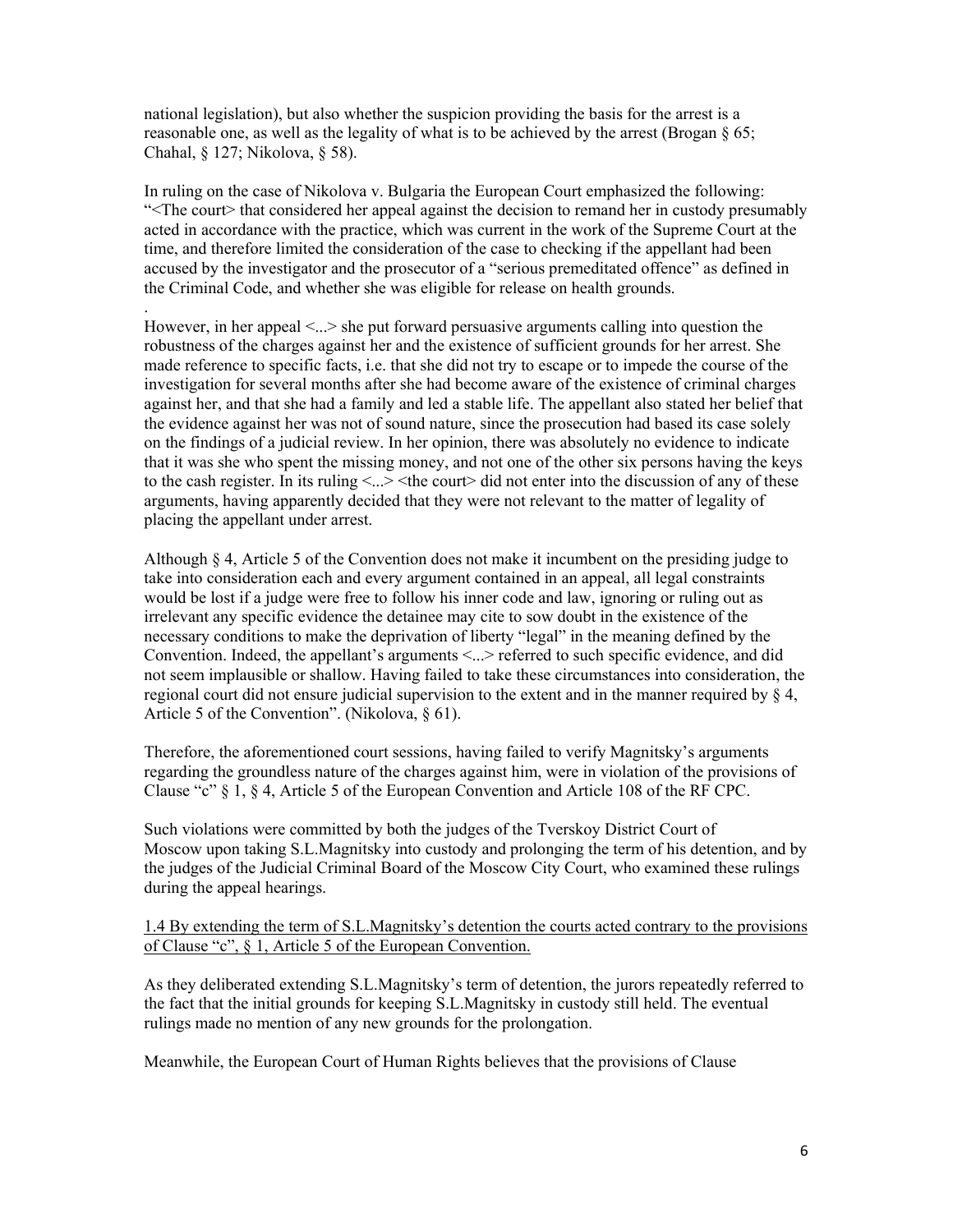national legislation), but also whether the suspicion providing the basis for the arrest is a reasonable one, as well as the legality of what is to be achieved by the arrest (Brogan § 65; Chahal, § 127; Nikolova, § 58).

.

In ruling on the case of Nikolova v. Bulgaria the European Court emphasized the following: "<The court> that considered her appeal against the decision to remand her in custody presumably acted in accordance with the practice, which was current in the work of the Supreme Court at the time, and therefore limited the consideration of the case to checking if the appellant had been accused by the investigator and the prosecutor of a "serious premeditated offence" as defined in the Criminal Code, and whether she was eligible for release on health grounds.

However, in her appeal <...> she put forward persuasive arguments calling into question the robustness of the charges against her and the existence of sufficient grounds for her arrest. She made reference to specific facts, i.e. that she did not try to escape or to impede the course of the investigation for several months after she had become aware of the existence of criminal charges against her, and that she had a family and led a stable life. The appellant also stated her belief that the evidence against her was not of sound nature, since the prosecution had based its case solely on the findings of a judicial review. In her opinion, there was absolutely no evidence to indicate that it was she who spent the missing money, and not one of the other six persons having the keys to the cash register. In its ruling  $\langle ... \rangle \langle$  the court $\rangle$  did not enter into the discussion of any of these arguments, having apparently decided that they were not relevant to the matter of legality of placing the appellant under arrest.

Although § 4, Article 5 of the Convention does not make it incumbent on the presiding judge to take into consideration each and every argument contained in an appeal, all legal constraints would be lost if a judge were free to follow his inner code and law, ignoring or ruling out as irrelevant any specific evidence the detainee may cite to sow doubt in the existence of the necessary conditions to make the deprivation of liberty "legal" in the meaning defined by the Convention. Indeed, the appellant's arguments <...> referred to such specific evidence, and did not seem implausible or shallow. Having failed to take these circumstances into consideration, the regional court did not ensure judicial supervision to the extent and in the manner required by § 4, Article 5 of the Convention". (Nikolova, § 61).

Therefore, the aforementioned court sessions, having failed to verify Magnitsky's arguments regarding the groundless nature of the charges against him, were in violation of the provisions of Clause "c" § 1, § 4, Article 5 of the European Convention and Article 108 of the RF CPC.

Such violations were committed by both the judges of the Tverskoy District Court of Moscow upon taking S.L.Magnitsky into custody and prolonging the term of his detention, and by the judges of the Judicial Criminal Board of the Moscow City Court, who examined these rulings during the appeal hearings.

## 1.4 By extending the term of S.L.Magnitsky's detention the courts acted contrary to the provisions of Clause "c", § 1, Article 5 of the European Convention.

As they deliberated extending S.L.Magnitsky's term of detention, the jurors repeatedly referred to the fact that the initial grounds for keeping S.L.Magnitsky in custody still held. The eventual rulings made no mention of any new grounds for the prolongation.

Meanwhile, the European Court of Human Rights believes that the provisions of Clause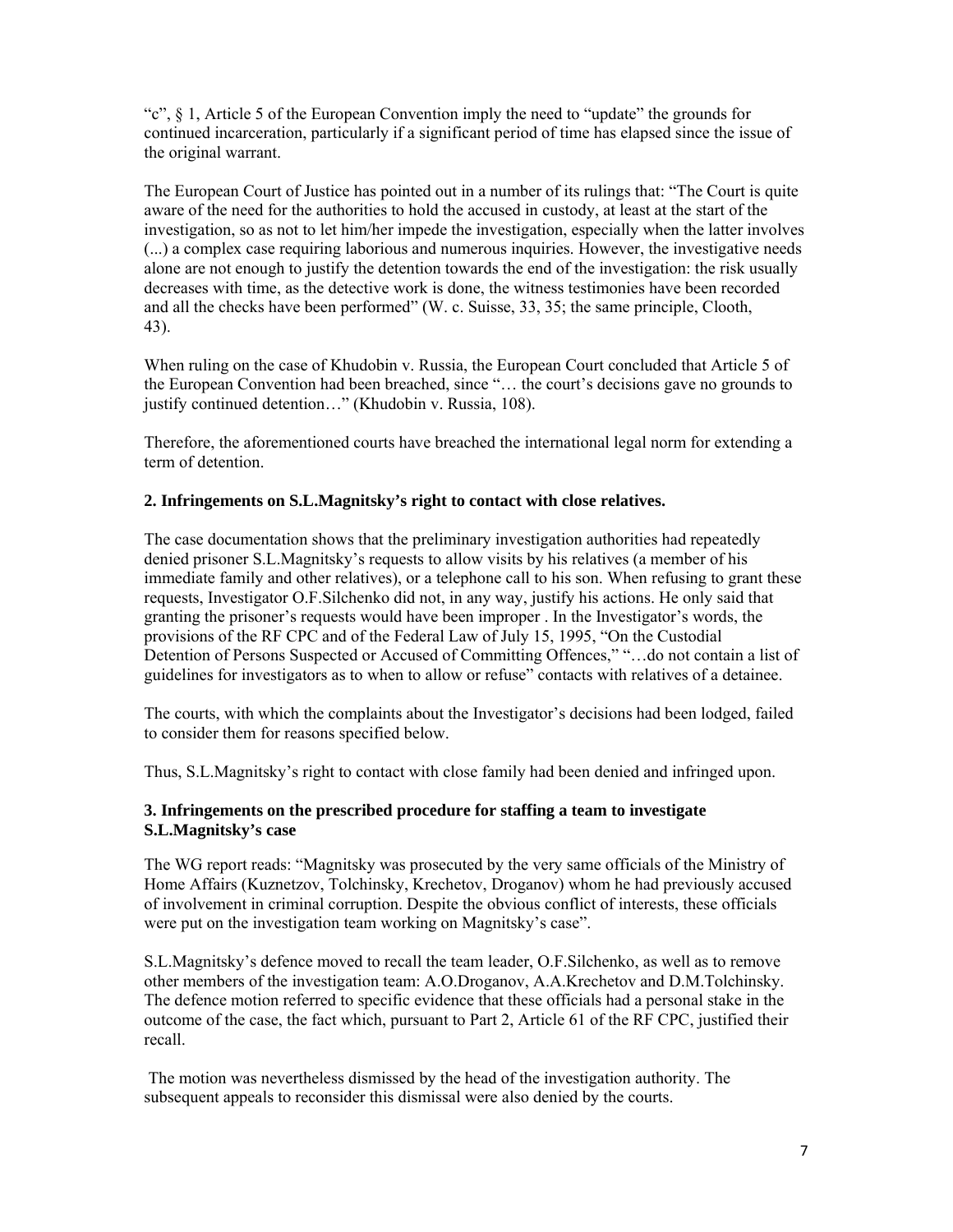"c", § 1, Article 5 of the European Convention imply the need to "update" the grounds for continued incarceration, particularly if a significant period of time has elapsed since the issue of the original warrant.

The European Court of Justice has pointed out in a number of its rulings that: "The Court is quite aware of the need for the authorities to hold the accused in custody, at least at the start of the investigation, so as not to let him/her impede the investigation, especially when the latter involves (...) a complex case requiring laborious and numerous inquiries. However, the investigative needs alone are not enough to justify the detention towards the end of the investigation: the risk usually decreases with time, as the detective work is done, the witness testimonies have been recorded and all the checks have been performed" (W. с. Suisse, 33, 35; the same principle, Clooth, 43).

When ruling on the case of Khudobin v. Russia, the European Court concluded that Article 5 of the European Convention had been breached, since "… the court's decisions gave no grounds to justify continued detention…" (Khudobin v. Russia, 108).

Therefore, the aforementioned courts have breached the international legal norm for extending a term of detention.

## **2. Infringements on S.L.Magnitsky's right to contact with close relatives.**

The case documentation shows that the preliminary investigation authorities had repeatedly denied prisoner S.L.Magnitsky's requests to allow visits by his relatives (a member of his immediate family and other relatives), or a telephone call to his son. When refusing to grant these requests, Investigator O.F.Silchenko did not, in any way, justify his actions. He only said that granting the prisoner's requests would have been improper . In the Investigator's words, the provisions of the RF CPC and of the Federal Law of July 15, 1995, "On the Custodial Detention of Persons Suspected or Accused of Committing Offences," "…do not contain a list of guidelines for investigators as to when to allow or refuse" contacts with relatives of a detainee.

The courts, with which the complaints about the Investigator's decisions had been lodged, failed to consider them for reasons specified below.

Thus, S.L.Magnitsky's right to contact with close family had been denied and infringed upon.

## **3. Infringements on the prescribed procedure for staffing a team to investigate S.L.Magnitsky's case**

The WG report reads: "Magnitsky was prosecuted by the very same officials of the Ministry of Home Affairs (Kuznetzov, Tolchinsky, Krechetov, Droganov) whom he had previously accused of involvement in criminal corruption. Despite the obvious conflict of interests, these officials were put on the investigation team working on Magnitsky's case".

S.L.Magnitsky's defence moved to recall the team leader, O.F.Silchenko, as well as to remove other members of the investigation team: A.O.Droganov, A.A.Krechetov and D.M.Tolchinsky. The defence motion referred to specific evidence that these officials had a personal stake in the outcome of the case, the fact which, pursuant to Part 2, Article 61 of the RF CPC, justified their recall.

 The motion was nevertheless dismissed by the head of the investigation authority. The subsequent appeals to reconsider this dismissal were also denied by the courts.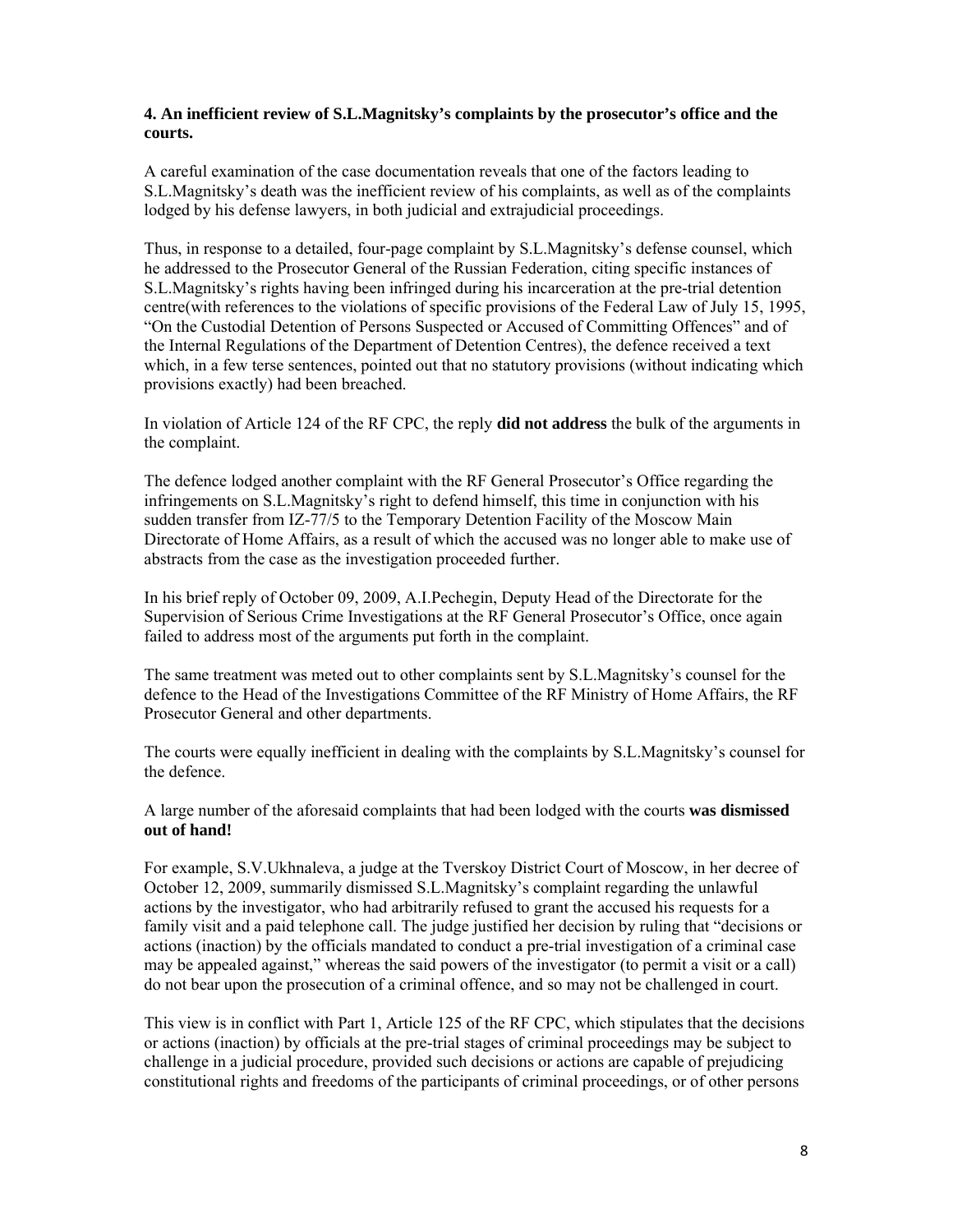## **4. An inefficient review of S.L.Magnitsky's complaints by the prosecutor's office and the courts.**

A careful examination of the case documentation reveals that one of the factors leading to S.L.Magnitsky's death was the inefficient review of his complaints, as well as of the complaints lodged by his defense lawyers, in both judicial and extrajudicial proceedings.

Thus, in response to a detailed, four-page complaint by S.L.Magnitsky's defense counsel, which he addressed to the Prosecutor General of the Russian Federation, citing specific instances of S.L.Magnitsky's rights having been infringed during his incarceration at the pre-trial detention centre(with references to the violations of specific provisions of the Federal Law of July 15, 1995, "On the Custodial Detention of Persons Suspected or Accused of Committing Offences" and of the Internal Regulations of the Department of Detention Centres), the defence received a text which, in a few terse sentences, pointed out that no statutory provisions (without indicating which provisions exactly) had been breached.

In violation of Article 124 of the RF CPC, the reply **did not address** the bulk of the arguments in the complaint.

The defence lodged another complaint with the RF General Prosecutor's Office regarding the infringements on S.L.Magnitsky's right to defend himself, this time in conjunction with his sudden transfer from IZ-77/5 to the Temporary Detention Facility of the Moscow Main Directorate of Home Affairs, as a result of which the accused was no longer able to make use of abstracts from the case as the investigation proceeded further.

In his brief reply of October 09, 2009, A.I.Pechegin, Deputy Head of the Directorate for the Supervision of Serious Crime Investigations at the RF General Prosecutor's Office, once again failed to address most of the arguments put forth in the complaint.

The same treatment was meted out to other complaints sent by S.L.Magnitsky's counsel for the defence to the Head of the Investigations Committee of the RF Ministry of Home Affairs, the RF Prosecutor General and other departments.

The courts were equally inefficient in dealing with the complaints by S.L.Magnitsky's counsel for the defence.

A large number of the aforesaid complaints that had been lodged with the courts **was dismissed out of hand!** 

For example, S.V.Ukhnaleva, a judge at the Tverskoy District Court of Moscow, in her decree of October 12, 2009, summarily dismissed S.L.Magnitsky's complaint regarding the unlawful actions by the investigator, who had arbitrarily refused to grant the accused his requests for a family visit and a paid telephone call. The judge justified her decision by ruling that "decisions or actions (inaction) by the officials mandated to conduct a pre-trial investigation of a criminal case may be appealed against," whereas the said powers of the investigator (to permit a visit or a call) do not bear upon the prosecution of a criminal offence, and so may not be challenged in court.

This view is in conflict with Part 1, Article 125 of the RF CPC, which stipulates that the decisions or actions (inaction) by officials at the pre-trial stages of criminal proceedings may be subject to challenge in a judicial procedure, provided such decisions or actions are capable of prejudicing constitutional rights and freedoms of the participants of criminal proceedings, or of other persons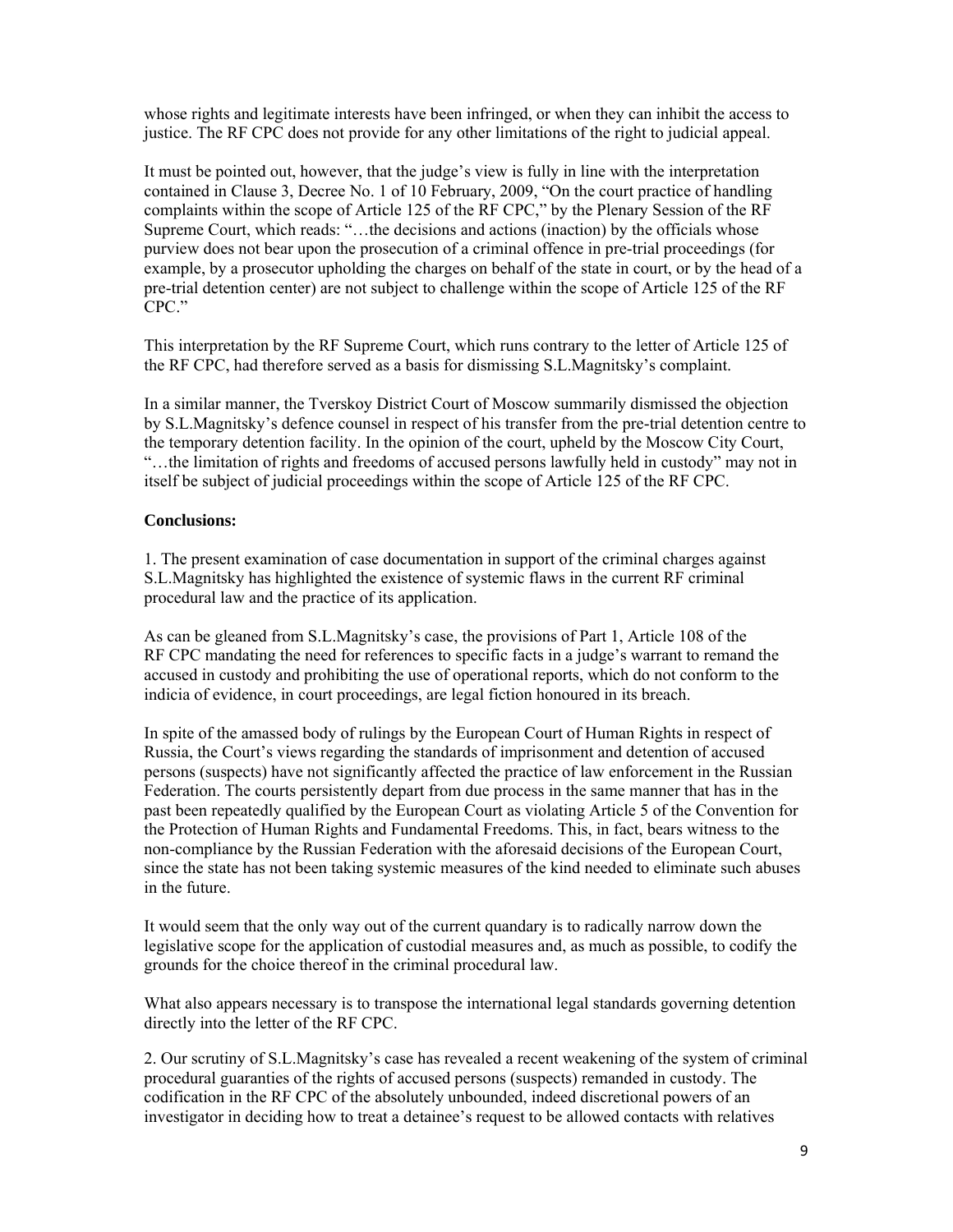whose rights and legitimate interests have been infringed, or when they can inhibit the access to justice. The RF CPC does not provide for any other limitations of the right to judicial appeal.

It must be pointed out, however, that the judge's view is fully in line with the interpretation contained in Clause 3, Decree No. 1 of 10 February, 2009, "On the court practice of handling complaints within the scope of Article 125 of the RF CPC," by the Plenary Session of the RF Supreme Court, which reads: "…the decisions and actions (inaction) by the officials whose purview does not bear upon the prosecution of a criminal offence in pre-trial proceedings (for example, by a prosecutor upholding the charges on behalf of the state in court, or by the head of a pre-trial detention center) are not subject to challenge within the scope of Article 125 of the RF CPC."

This interpretation by the RF Supreme Court, which runs contrary to the letter of Article 125 of the RF CPC, had therefore served as a basis for dismissing S.L.Magnitsky's complaint.

In a similar manner, the Tverskoy District Court of Moscow summarily dismissed the objection by S.L.Magnitsky's defence counsel in respect of his transfer from the pre-trial detention centre to the temporary detention facility. In the opinion of the court, upheld by the Moscow City Court, "…the limitation of rights and freedoms of accused persons lawfully held in custody" may not in itself be subject of judicial proceedings within the scope of Article 125 of the RF CPC.

#### **Conclusions:**

1. The present examination of case documentation in support of the criminal charges against S.L.Magnitsky has highlighted the existence of systemic flaws in the current RF criminal procedural law and the practice of its application.

As can be gleaned from S.L.Magnitsky's case, the provisions of Part 1, Article 108 of the RF CPC mandating the need for references to specific facts in a judge's warrant to remand the accused in custody and prohibiting the use of operational reports, which do not conform to the indicia of evidence, in court proceedings, are legal fiction honoured in its breach.

In spite of the amassed body of rulings by the European Court of Human Rights in respect of Russia, the Court's views regarding the standards of imprisonment and detention of accused persons (suspects) have not significantly affected the practice of law enforcement in the Russian Federation. The courts persistently depart from due process in the same manner that has in the past been repeatedly qualified by the European Court as violating Article 5 of the Convention for the Protection of Human Rights and Fundamental Freedoms. This, in fact, bears witness to the non-compliance by the Russian Federation with the aforesaid decisions of the European Court, since the state has not been taking systemic measures of the kind needed to eliminate such abuses in the future.

It would seem that the only way out of the current quandary is to radically narrow down the legislative scope for the application of custodial measures and, as much as possible, to codify the grounds for the choice thereof in the criminal procedural law.

What also appears necessary is to transpose the international legal standards governing detention directly into the letter of the RF CPC.

2. Our scrutiny of S.L.Magnitsky's case has revealed a recent weakening of the system of criminal procedural guaranties of the rights of accused persons (suspects) remanded in custody. The codification in the RF CPC of the absolutely unbounded, indeed discretional powers of an investigator in deciding how to treat a detainee's request to be allowed contacts with relatives